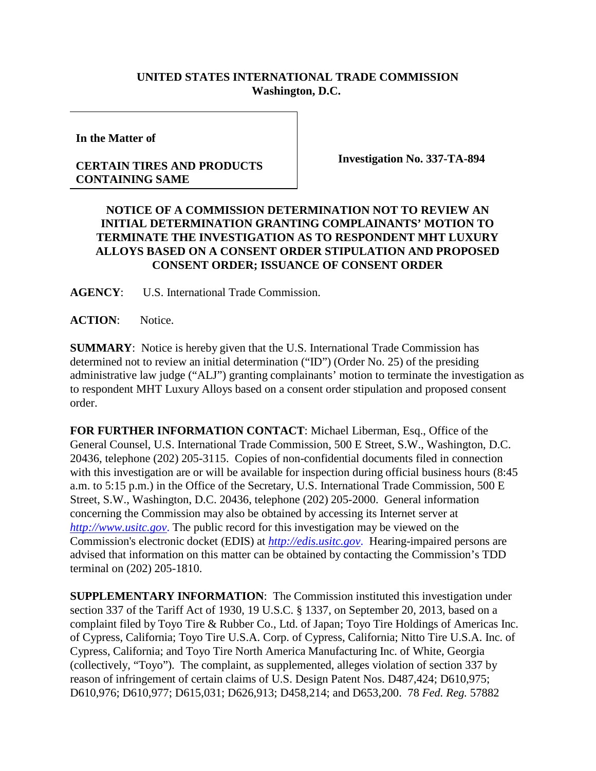## **UNITED STATES INTERNATIONAL TRADE COMMISSION Washington, D.C.**

**In the Matter of**

## **CERTAIN TIRES AND PRODUCTS CONTAINING SAME**

**Investigation No. 337-TA-894**

## **NOTICE OF A COMMISSION DETERMINATION NOT TO REVIEW AN INITIAL DETERMINATION GRANTING COMPLAINANTS' MOTION TO TERMINATE THE INVESTIGATION AS TO RESPONDENT MHT LUXURY ALLOYS BASED ON A CONSENT ORDER STIPULATION AND PROPOSED CONSENT ORDER; ISSUANCE OF CONSENT ORDER**

**AGENCY**: U.S. International Trade Commission.

**ACTION**: Notice.

**SUMMARY**: Notice is hereby given that the U.S. International Trade Commission has determined not to review an initial determination ("ID") (Order No. 25) of the presiding administrative law judge ("ALJ") granting complainants' motion to terminate the investigation as to respondent MHT Luxury Alloys based on a consent order stipulation and proposed consent order.

**FOR FURTHER INFORMATION CONTACT**: Michael Liberman, Esq., Office of the General Counsel, U.S. International Trade Commission, 500 E Street, S.W., Washington, D.C. 20436, telephone (202) 205-3115. Copies of non-confidential documents filed in connection with this investigation are or will be available for inspection during official business hours (8:45) a.m. to 5:15 p.m.) in the Office of the Secretary, U.S. International Trade Commission, 500 E Street, S.W., Washington, D.C. 20436, telephone (202) 205-2000. General information concerning the Commission may also be obtained by accessing its Internet server at *[http://www.usitc.gov](http://www.usitc.gov./)*. The public record for this investigation may be viewed on the Commission's electronic docket (EDIS) at *[http://edis.usitc.gov](http://edis.usitc.gov./)*. Hearing-impaired persons are advised that information on this matter can be obtained by contacting the Commission's TDD terminal on (202) 205-1810.

**SUPPLEMENTARY INFORMATION**: The Commission instituted this investigation under section 337 of the Tariff Act of 1930, 19 U.S.C. § 1337, on September 20, 2013, based on a complaint filed by Toyo Tire & Rubber Co., Ltd. of Japan; Toyo Tire Holdings of Americas Inc. of Cypress, California; Toyo Tire U.S.A. Corp. of Cypress, California; Nitto Tire U.S.A. Inc. of Cypress, California; and Toyo Tire North America Manufacturing Inc. of White, Georgia (collectively, "Toyo"). The complaint, as supplemented, alleges violation of section 337 by reason of infringement of certain claims of U.S. Design Patent Nos. D487,424; D610,975; D610,976; D610,977; D615,031; D626,913; D458,214; and D653,200. 78 *Fed. Reg.* 57882